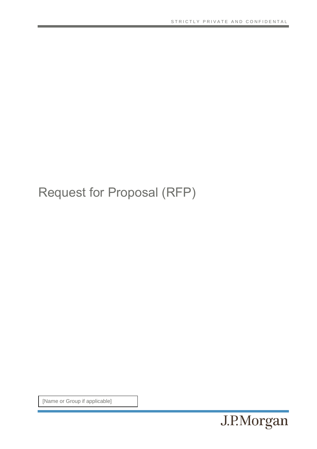## Request for Proposal (RFP)

[Name or Group if applicable]

J.P.Morgan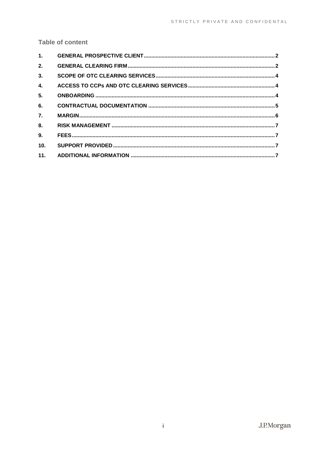## **Table of content**

| 1.               |  |
|------------------|--|
| 2.               |  |
| 3.               |  |
| 4.               |  |
| 5.               |  |
| 6.               |  |
| $\overline{7}$ . |  |
| 8.               |  |
| 9 <sub>1</sub>   |  |
| 10 <sub>1</sub>  |  |
| 11.              |  |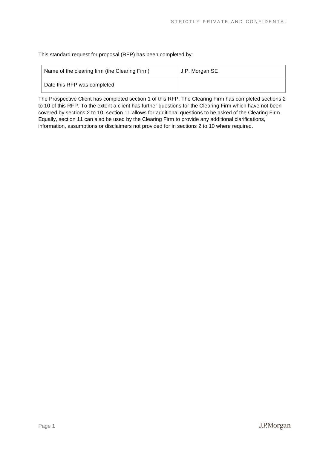This standard request for proposal (RFP) has been completed by:

| Name of the clearing firm (the Clearing Firm) | J.P. Morgan SE |
|-----------------------------------------------|----------------|
| Date this RFP was completed                   |                |

The Prospective Client has completed section 1 of this RFP. The Clearing Firm has completed sections 2 to 10 of this RFP. To the extent a client has further questions for the Clearing Firm which have not been covered by sections 2 to 10, section 11 allows for additional questions to be asked of the Clearing Firm. Equally, section 11 can also be used by the Clearing Firm to provide any additional clarifications, information, assumptions or disclaimers not provided for in sections 2 to 10 where required.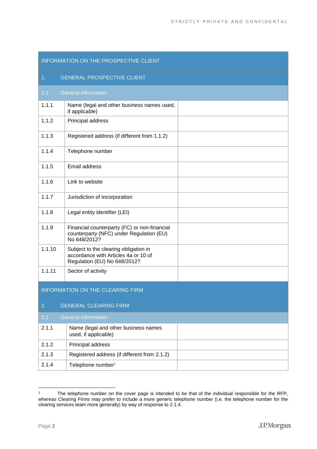<span id="page-3-0"></span>

| INFORMATION ON THE PROSPECTIVE CLIENT |                                                                                                               |  |
|---------------------------------------|---------------------------------------------------------------------------------------------------------------|--|
| 1 <sub>1</sub>                        | <b>GENERAL PROSPECTIVE CLIENT</b>                                                                             |  |
| 1.1                                   | <b>General information</b>                                                                                    |  |
| 1.1.1                                 | Name (legal and other business names used,<br>if applicable)                                                  |  |
| 1.1.2                                 | Principal address                                                                                             |  |
| 1.1.3                                 | Registered address (if different from 1.1.2)                                                                  |  |
| 1.1.4                                 | Telephone number                                                                                              |  |
| 1.1.5                                 | Email address                                                                                                 |  |
| 1.1.6                                 | Link to website                                                                                               |  |
| 1.1.7                                 | Jurisdiction of incorporation                                                                                 |  |
| 1.1.8                                 | Legal entity identifier (LEI)                                                                                 |  |
| 1.1.9                                 | Financial counterparty (FC) or non-financial<br>counterparty (NFC) under Regulation (EU)<br>No 648/2012?      |  |
| 1.1.10                                | Subject to the clearing obligation in<br>accordance with Articles 4a or 10 of<br>Regulation (EU) No 648/2012? |  |
| 1.1.11                                | Sector of activity                                                                                            |  |
| INFORMATION ON THE CLEARING FIRM      |                                                                                                               |  |
| <b>GENERAL CLEARING FIRM</b><br>2.    |                                                                                                               |  |
| 2.1                                   | <b>General information</b>                                                                                    |  |
| 2.1.1                                 | Name (legal and other business names<br>used, if applicable)                                                  |  |
| 2.1.2                                 | Principal address                                                                                             |  |
| 2.1.3                                 | Registered address (if different from 2.1.2)                                                                  |  |
| 2.1.4                                 | Telephone number <sup>1</sup>                                                                                 |  |

<span id="page-3-1"></span><sup>&</sup>lt;sup>1</sup> The telephone number on the cover page is intended to be that of the individual responsible for the RFP, whereas Clearing Firms may prefer to include a more generic telephone number (i.e. the telephone number for the clearing services team more generally) by way of response to 2.1.4.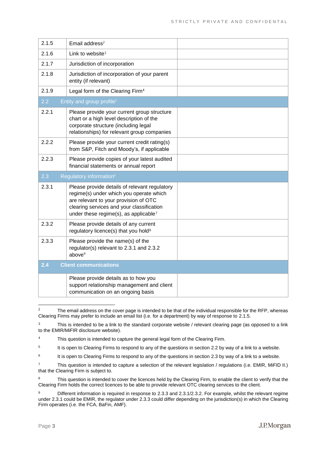| 2.1.5 | Email address <sup>2</sup>                                                                                                                                                                                                          |  |
|-------|-------------------------------------------------------------------------------------------------------------------------------------------------------------------------------------------------------------------------------------|--|
| 2.1.6 | Link to website <sup>3</sup>                                                                                                                                                                                                        |  |
| 2.1.7 | Jurisdiction of incorporation                                                                                                                                                                                                       |  |
| 2.1.8 | Jurisdiction of incorporation of your parent<br>entity (if relevant)                                                                                                                                                                |  |
| 2.1.9 | Legal form of the Clearing Firm <sup>4</sup>                                                                                                                                                                                        |  |
| 2.2   | Entity and group profile <sup>5</sup>                                                                                                                                                                                               |  |
| 2.2.1 | Please provide your current group structure<br>chart or a high level description of the<br>corporate structure (including legal<br>relationships) for relevant group companies                                                      |  |
| 2.2.2 | Please provide your current credit rating(s)<br>from S&P, Fitch and Moody's, if applicable                                                                                                                                          |  |
| 2.2.3 | Please provide copies of your latest audited<br>financial statements or annual report                                                                                                                                               |  |
|       |                                                                                                                                                                                                                                     |  |
| 2.3   | Regulatory information <sup>6</sup>                                                                                                                                                                                                 |  |
| 2.3.1 | Please provide details of relevant regulatory<br>regime(s) under which you operate which<br>are relevant to your provision of OTC<br>clearing services and your classification<br>under these regime(s), as applicable <sup>7</sup> |  |
| 2.3.2 | Please provide details of any current<br>regulatory licence(s) that you hold <sup>8</sup>                                                                                                                                           |  |
| 2.3.3 | Please provide the name(s) of the<br>regulator(s) relevant to 2.3.1 and 2.3.2<br>above <sup>9</sup>                                                                                                                                 |  |
| 2.4   | <b>Client communications</b>                                                                                                                                                                                                        |  |

<sup>&</sup>lt;sup>2</sup> The email address on the cover page is intended to be that of the individual responsible for the RFP, whereas Clearing Firms may prefer to include an email list (i.e. for a department) by way of response to 2.1.5.

<sup>&</sup>lt;sup>3</sup> This is intended to be a link to the standard corporate website / relevant clearing page (as opposed to a link to the EMIR/MiFIR disclosure website).

<sup>&</sup>lt;sup>4</sup> This question is intended to capture the general legal form of the Clearing Firm.

<sup>5</sup> It is open to Clearing Firms to respond to any of the questions in section 2.2 by way of a link to a website.

<sup>6</sup> It is open to Clearing Firms to respond to any of the questions in section 2.3 by way of a link to a website.

 $7$  This question is intended to capture a selection of the relevant legislation / regulations (i.e. EMIR, MiFID II.) that the Clearing Firm is subject to.

<sup>&</sup>lt;sup>8</sup> This question is intended to cover the licences held by the Clearing Firm, to enable the client to verify that the Clearing Firm holds the correct licences to be able to provide relevant OTC clearing services to the client.

<sup>&</sup>lt;sup>9</sup> Different information is required in response to 2.3.3 and 2.3.1/2.3.2. For example, whilst the relevant regime under 2.3.1 could be EMIR, the regulator under 2.3.3 could differ depending on the jurisdiction(s) in which the Clearing Firm operates (i.e. the FCA, BaFin, AMF).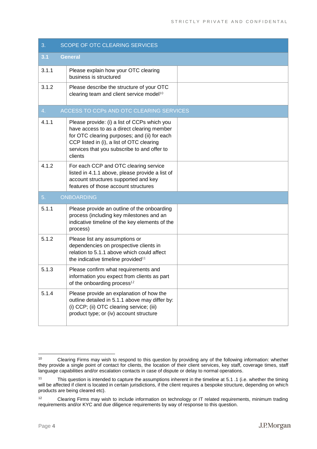<span id="page-5-2"></span><span id="page-5-1"></span><span id="page-5-0"></span>

| 3.    | <b>SCOPE OF OTC CLEARING SERVICES</b>                                                                                                                                                                                                             |  |
|-------|---------------------------------------------------------------------------------------------------------------------------------------------------------------------------------------------------------------------------------------------------|--|
| 3.1   | <b>General</b>                                                                                                                                                                                                                                    |  |
| 3.1.1 | Please explain how your OTC clearing<br>business is structured                                                                                                                                                                                    |  |
| 3.1.2 | Please describe the structure of your OTC<br>clearing team and client service model <sup>10</sup>                                                                                                                                                 |  |
| 4.    | ACCESS TO CCPs AND OTC CLEARING SERVICES                                                                                                                                                                                                          |  |
| 4.1.1 | Please provide: (i) a list of CCPs which you<br>have access to as a direct clearing member<br>for OTC clearing purposes; and (ii) for each<br>CCP listed in (i), a list of OTC clearing<br>services that you subscribe to and offer to<br>clients |  |
| 4.1.2 | For each CCP and OTC clearing service<br>listed in 4.1.1 above, please provide a list of<br>account structures supported and key<br>features of those account structures                                                                          |  |
| 5.    | <b>ONBOARDING</b>                                                                                                                                                                                                                                 |  |
| 5.1.1 | Please provide an outline of the onboarding<br>process (including key milestones and an<br>indicative timeline of the key elements of the<br>process)                                                                                             |  |
| 5.1.2 | Please list any assumptions or<br>dependencies on prospective clients in<br>relation to 5.1.1 above which could affect<br>the indicative timeline provided <sup>11</sup>                                                                          |  |
| 5.1.3 | Please confirm what requirements and<br>information you expect from clients as part<br>of the onboarding process <sup>12</sup>                                                                                                                    |  |
| 5.1.4 | Please provide an explanation of how the<br>outline detailed in 5.1.1 above may differ by:<br>(i) CCP; (ii) OTC clearing service; (iii)<br>product type; or (iv) account structure                                                                |  |

<sup>10</sup> Clearing Firms may wish to respond to this question by providing any of the following information: whether they provide a single point of contact for clients, the location of their client services, key staff, coverage times, staff language capabilities and/or escalation contacts in case of dispute or delay to normal operations.

<sup>11</sup> This question is intended to capture the assumptions inherent in the timeline at 5.1 .1 (i.e. whether the timing will be affected if client is located in certain jurisdictions, if the client requires a bespoke structure, depending on which products are being cleared etc).

<sup>&</sup>lt;sup>12</sup> Clearing Firms may wish to include information on technology or IT related requirements, minimum trading requirements and/or KYC and due diligence requirements by way of response to this question.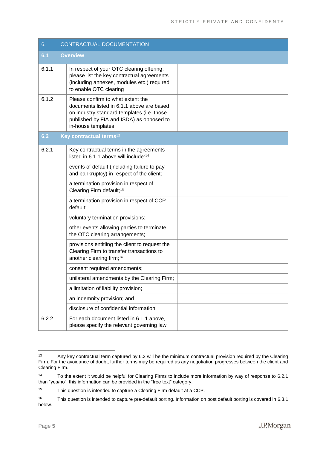<span id="page-6-0"></span>

| 6.    | <b>CONTRACTUAL DOCUMENTATION</b>                                                                                                                                                               |  |
|-------|------------------------------------------------------------------------------------------------------------------------------------------------------------------------------------------------|--|
| 6.1   | <b>Overview</b>                                                                                                                                                                                |  |
| 6.1.1 | In respect of your OTC clearing offering,<br>please list the key contractual agreements<br>(including annexes, modules etc.) required<br>to enable OTC clearing                                |  |
| 6.1.2 | Please confirm to what extent the<br>documents listed in 6.1.1 above are based<br>on industry standard templates (i.e. those<br>published by FIA and ISDA) as opposed to<br>in-house templates |  |
| 6.2   | Key contractual terms <sup>13</sup>                                                                                                                                                            |  |
| 6.2.1 | Key contractual terms in the agreements<br>listed in 6.1.1 above will include: <sup>14</sup>                                                                                                   |  |
|       | events of default (including failure to pay<br>and bankruptcy) in respect of the client;                                                                                                       |  |
|       | a termination provision in respect of<br>Clearing Firm default; <sup>15</sup>                                                                                                                  |  |
|       | a termination provision in respect of CCP<br>default;                                                                                                                                          |  |
|       | voluntary termination provisions;                                                                                                                                                              |  |
|       | other events allowing parties to terminate<br>the OTC clearing arrangements;                                                                                                                   |  |
|       | provisions entitling the client to request the<br>Clearing Firm to transfer transactions to<br>another clearing firm; <sup>16</sup>                                                            |  |
|       | consent required amendments;                                                                                                                                                                   |  |
|       | unilateral amendments by the Clearing Firm;                                                                                                                                                    |  |
|       | a limitation of liability provision;                                                                                                                                                           |  |
|       | an indemnity provision; and                                                                                                                                                                    |  |
|       | disclosure of confidential information                                                                                                                                                         |  |
| 6.2.2 | For each document listed in 6.1.1 above,<br>please specify the relevant governing law                                                                                                          |  |

<sup>&</sup>lt;sup>13</sup> Any key contractual term captured by 6.2 will be the minimum contractual provision required by the Clearing Firm. For the avoidance of doubt, further terms may be required as any negotiation progresses between the client and Clearing Firm.

<sup>14</sup> To the extent it would be helpful for Clearing Firms to include more information by way of response to 6.2.1 than "yes/no", this information can be provided in the "free text" category.

<sup>15</sup> This question is intended to capture a Clearing Firm default at a CCP.

<sup>16</sup> This question is intended to capture pre-default porting. Information on post default porting is covered in 6.3.1 below.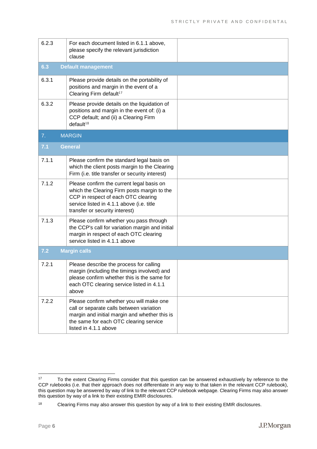<span id="page-7-0"></span>

| 6.2.3 | For each document listed in 6.1.1 above,<br>please specify the relevant jurisdiction<br>clause                                                                                                                 |  |
|-------|----------------------------------------------------------------------------------------------------------------------------------------------------------------------------------------------------------------|--|
| 6.3   | <b>Default management</b>                                                                                                                                                                                      |  |
| 6.3.1 | Please provide details on the portability of<br>positions and margin in the event of a<br>Clearing Firm default <sup>17</sup>                                                                                  |  |
| 6.3.2 | Please provide details on the liquidation of<br>positions and margin in the event of: (i) a<br>CCP default; and (ii) a Clearing Firm<br>default <sup>18</sup>                                                  |  |
| 7.    | <b>MARGIN</b>                                                                                                                                                                                                  |  |
| 7.1   | <b>General</b>                                                                                                                                                                                                 |  |
| 7.1.1 | Please confirm the standard legal basis on<br>which the client posts margin to the Clearing<br>Firm (i.e. title transfer or security interest)                                                                 |  |
| 7.1.2 | Please confirm the current legal basis on<br>which the Clearing Firm posts margin to the<br>CCP in respect of each OTC clearing<br>service listed in 4.1.1 above (i.e. title<br>transfer or security interest) |  |
| 7.1.3 | Please confirm whether you pass through<br>the CCP's call for variation margin and initial<br>margin in respect of each OTC clearing<br>service listed in 4.1.1 above                                          |  |
| 7.2   | <b>Margin calls</b>                                                                                                                                                                                            |  |
| 7.2.1 | Please describe the process for calling<br>margin (including the timings involved) and<br>please confirm whether this is the same for<br>each OTC clearing service listed in 4.1.1<br>above                    |  |
| 7.2.2 | Please confirm whether you will make one<br>call or separate calls between variation<br>margin and initial margin and whether this is<br>the same for each OTC clearing service<br>listed in 4.1.1 above       |  |

<sup>&</sup>lt;sup>17</sup> To the extent Clearing Firms consider that this question can be answered exhaustively by reference to the CCP rulebooks (i.e. that their approach does not differentiate in any way to that taken in the relevant CCP rulebook), this question may be answered by way of link to the relevant CCP rulebook webpage. Clearing Firms may also answer this question by way of a link to their existing EMIR disclosures.

<sup>18</sup> Clearing Firms may also answer this question by way of a link to their existing EMIR disclosures.